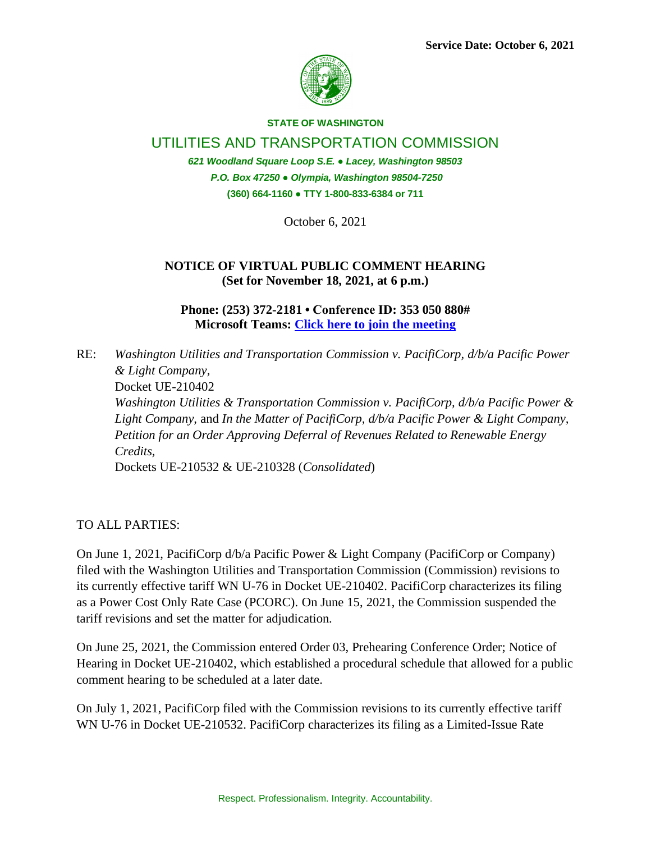

## **STATE OF WASHINGTON**

UTILITIES AND TRANSPORTATION COMMISSION

*621 Woodland Square Loop S.E. ● Lacey, Washington 98503 P.O. Box 47250 ● Olympia, Washington 98504-7250* **(360) 664-1160 ● TTY 1-800-833-6384 or 711**

October 6, 2021

## **NOTICE OF VIRTUAL PUBLIC COMMENT HEARING (Set for November 18, 2021, at 6 p.m.)**

**Phone: (253) 372-2181 • Conference ID: 353 050 880# Microsoft Teams: [Click here to join the meeting](https://teams.microsoft.com/l/meetup-join/19%3ameeting_MDEwMTkyNjgtMzdiNi00YmE2LTliNTktNWRlOGE0ZTE3OWQy%40thread.v2/0?context=%7b%22Tid%22%3a%2211d0e217-264e-400a-8ba0-57dcc127d72d%22%2c%22Oid%22%3a%22e087eca4-4cd8-416f-8fc0-53ed60dbc833%22%7d)**

RE: *Washington Utilities and Transportation Commission v. PacifiCorp, d/b/a Pacific Power & Light Company,*  Docket UE-210402 *Washington Utilities & Transportation Commission v. PacifiCorp, d/b/a Pacific Power & Light Company,* and *In the Matter of PacifiCorp, d/b/a Pacific Power & Light Company, Petition for an Order Approving Deferral of Revenues Related to Renewable Energy Credits,* Dockets UE-210532 & UE-210328 (*Consolidated*)

TO ALL PARTIES:

On June 1, 2021, PacifiCorp d/b/a Pacific Power & Light Company (PacifiCorp or Company) filed with the Washington Utilities and Transportation Commission (Commission) revisions to its currently effective tariff WN U-76 in Docket UE-210402. PacifiCorp characterizes its filing as a Power Cost Only Rate Case (PCORC). On June 15, 2021, the Commission suspended the tariff revisions and set the matter for adjudication.

On June 25, 2021, the Commission entered Order 03, Prehearing Conference Order; Notice of Hearing in Docket UE-210402, which established a procedural schedule that allowed for a public comment hearing to be scheduled at a later date.

On July 1, 2021, PacifiCorp filed with the Commission revisions to its currently effective tariff WN U-76 in Docket UE-210532. PacifiCorp characterizes its filing as a Limited-Issue Rate